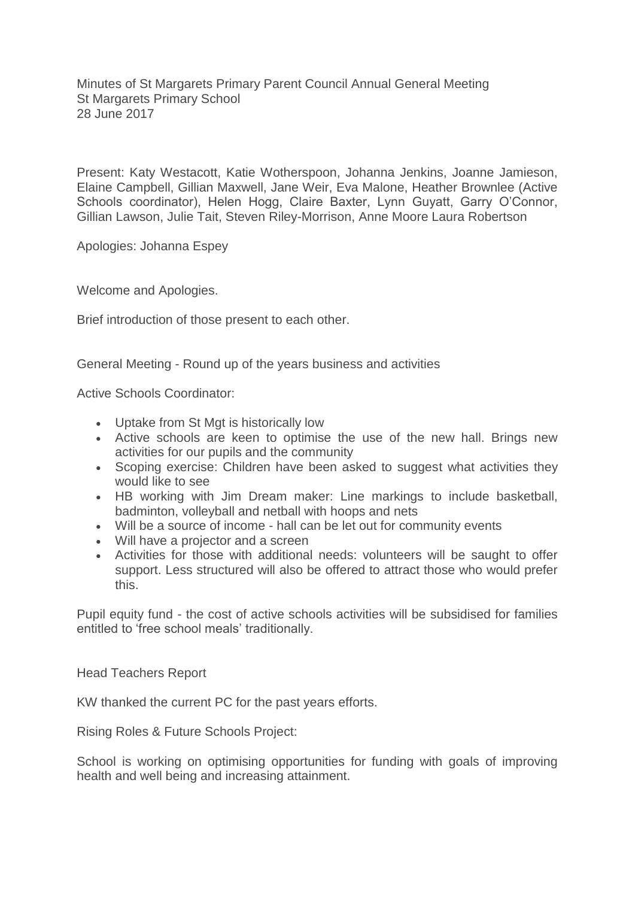Minutes of St Margarets Primary Parent Council Annual General Meeting St Margarets Primary School 28 June 2017

Present: Katy Westacott, Katie Wotherspoon, Johanna Jenkins, Joanne Jamieson, Elaine Campbell, Gillian Maxwell, Jane Weir, Eva Malone, Heather Brownlee (Active Schools coordinator), Helen Hogg, Claire Baxter, Lynn Guyatt, Garry O'Connor, Gillian Lawson, Julie Tait, Steven Riley-Morrison, Anne Moore Laura Robertson

Apologies: Johanna Espey

Welcome and Apologies.

Brief introduction of those present to each other.

General Meeting - Round up of the years business and activities

Active Schools Coordinator:

- Uptake from St Mgt is historically low
- Active schools are keen to optimise the use of the new hall. Brings new activities for our pupils and the community
- Scoping exercise: Children have been asked to suggest what activities they would like to see
- HB working with Jim Dream maker: Line markings to include basketball, badminton, volleyball and netball with hoops and nets
- Will be a source of income hall can be let out for community events
- Will have a projector and a screen
- Activities for those with additional needs: volunteers will be saught to offer support. Less structured will also be offered to attract those who would prefer this.

Pupil equity fund - the cost of active schools activities will be subsidised for families entitled to 'free school meals' traditionally.

Head Teachers Report

KW thanked the current PC for the past years efforts.

Rising Roles & Future Schools Project:

School is working on optimising opportunities for funding with goals of improving health and well being and increasing attainment.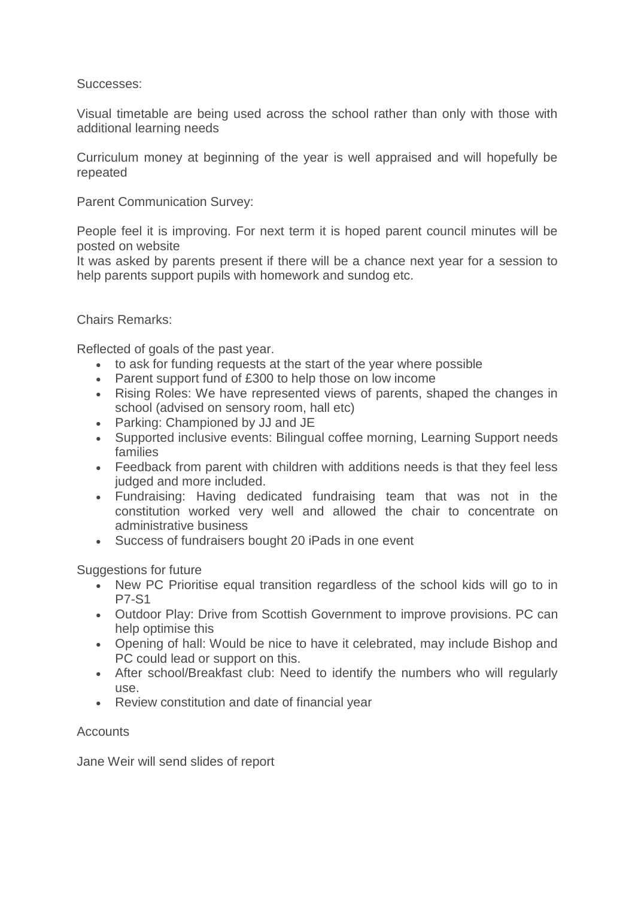## Successes:

Visual timetable are being used across the school rather than only with those with additional learning needs

Curriculum money at beginning of the year is well appraised and will hopefully be repeated

Parent Communication Survey:

People feel it is improving. For next term it is hoped parent council minutes will be posted on website

It was asked by parents present if there will be a chance next year for a session to help parents support pupils with homework and sundog etc.

## Chairs Remarks:

Reflected of goals of the past year.

- to ask for funding requests at the start of the year where possible
- Parent support fund of £300 to help those on low income
- Rising Roles: We have represented views of parents, shaped the changes in school (advised on sensory room, hall etc)
- Parking: Championed by JJ and JE
- Supported inclusive events: Bilingual coffee morning, Learning Support needs families
- Feedback from parent with children with additions needs is that they feel less judged and more included.
- Fundraising: Having dedicated fundraising team that was not in the constitution worked very well and allowed the chair to concentrate on administrative business
- Success of fundraisers bought 20 iPads in one event

Suggestions for future

- New PC Prioritise equal transition regardless of the school kids will go to in P7-S1
- Outdoor Play: Drive from Scottish Government to improve provisions. PC can help optimise this
- Opening of hall: Would be nice to have it celebrated, may include Bishop and PC could lead or support on this.
- After school/Breakfast club: Need to identify the numbers who will regularly use.
- Review constitution and date of financial year

## **Accounts**

Jane Weir will send slides of report